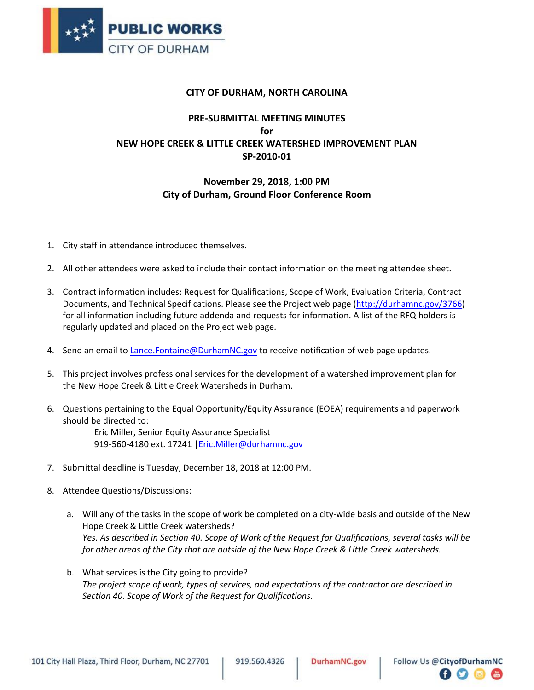

## **CITY OF DURHAM, NORTH CAROLINA**

## **PRE-SUBMITTAL MEETING MINUTES for NEW HOPE CREEK & LITTLE CREEK WATERSHED IMPROVEMENT PLAN SP-2010-01**

## **November 29, 2018, 1:00 PM City of Durham, Ground Floor Conference Room**

- 1. City staff in attendance introduced themselves.
- 2. All other attendees were asked to include their contact information on the meeting attendee sheet.
- 3. Contract information includes: Request for Qualifications, Scope of Work, Evaluation Criteria, Contract Documents, and Technical Specifications. Please see the Project web page [\(http://durhamnc.gov/3766\)](http://durhamnc.gov/3766) for all information including future addenda and requests for information. A list of the RFQ holders is regularly updated and placed on the Project web page.
- 4. Send an email to Lance. Fontaine @DurhamNC.gov to receive notification of web page updates.
- 5. This project involves professional services for the development of a watershed improvement plan for the New Hope Creek & Little Creek Watersheds in Durham.
- 6. Questions pertaining to the Equal Opportunity/Equity Assurance (EOEA) requirements and paperwork should be directed to:

Eric Miller, Senior Equity Assurance Specialist 919-560-4180 ext. 17241 | Eric.Miller@durhamnc.gov

- 7. Submittal deadline is Tuesday, December 18, 2018 at 12:00 PM.
- 8. Attendee Questions/Discussions:
	- a. Will any of the tasks in the scope of work be completed on a city-wide basis and outside of the New Hope Creek & Little Creek watersheds? *Yes. As described in Section 40. Scope of Work of the Request for Qualifications, several tasks will be for other areas of the City that are outside of the New Hope Creek & Little Creek watersheds.*
	- b. What services is the City going to provide? *The project scope of work, types of services, and expectations of the contractor are described in Section 40. Scope of Work of the Request for Qualifications.*